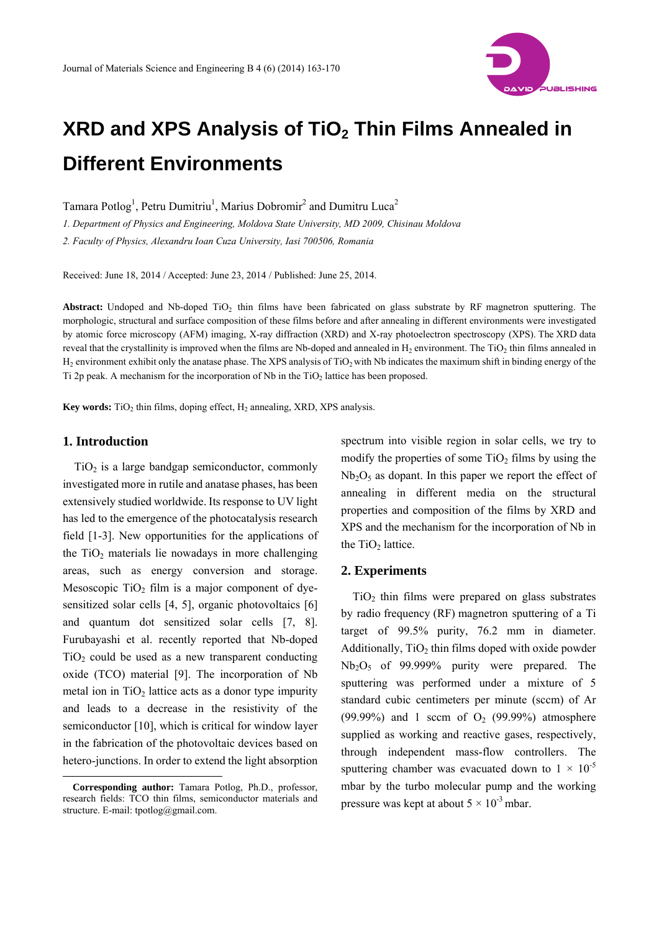

# **XRD and XPS Analysis of TiO2 Thin Films Annealed in Different Environments**

Tamara Potlog<sup>1</sup>, Petru Dumitriu<sup>1</sup>, Marius Dobromir<sup>2</sup> and Dumitru Luca<sup>2</sup>

*1. Department of Physics and Engineering, Moldova State University, MD 2009, Chisinau Moldova* 

*2. Faculty of Physics, Alexandru Ioan Cuza University, Iasi 700506, Romania* 

Received: June 18, 2014 / Accepted: June 23, 2014 / Published: June 25, 2014.

Abstract: Undoped and Nb-doped TiO<sub>2</sub> thin films have been fabricated on glass substrate by RF magnetron sputtering. The morphologic, structural and surface composition of these films before and after annealing in different environments were investigated by atomic force microscopy (AFM) imaging, X-ray diffraction (XRD) and X-ray photoelectron spectroscopy (XPS). The XRD data reveal that the crystallinity is improved when the films are Nb-doped and annealed in H<sub>2</sub> environment. The TiO<sub>2</sub> thin films annealed in  $H_2$  environment exhibit only the anatase phase. The XPS analysis of TiO<sub>2</sub> with Nb indicates the maximum shift in binding energy of the Ti 2p peak. A mechanism for the incorporation of Nb in the  $TiO<sub>2</sub>$  lattice has been proposed.

**Key words:** TiO<sub>2</sub> thin films, doping effect, H<sub>2</sub> annealing, XRD, XPS analysis.

## **1. Introduction**

 $\overline{a}$ 

 $TiO<sub>2</sub>$  is a large bandgap semiconductor, commonly investigated more in rutile and anatase phases, has been extensively studied worldwide. Its response to UV light has led to the emergence of the photocatalysis research field [1-3]. New opportunities for the applications of the  $TiO<sub>2</sub>$  materials lie nowadays in more challenging areas, such as energy conversion and storage. Mesoscopic  $TiO<sub>2</sub>$  film is a major component of dyesensitized solar cells [4, 5], organic photovoltaics [6] and quantum dot sensitized solar cells [7, 8]. Furubayashi et al. recently reported that Nb-doped  $TiO<sub>2</sub>$  could be used as a new transparent conducting oxide (TCO) material [9]. The incorporation of Nb metal ion in  $TiO<sub>2</sub>$  lattice acts as a donor type impurity and leads to a decrease in the resistivity of the semiconductor [10], which is critical for window layer in the fabrication of the photovoltaic devices based on hetero-junctions. In order to extend the light absorption

spectrum into visible region in solar cells, we try to modify the properties of some  $TiO<sub>2</sub>$  films by using the  $Nb<sub>2</sub>O<sub>5</sub>$  as dopant. In this paper we report the effect of annealing in different media on the structural properties and composition of the films by XRD and XPS and the mechanism for the incorporation of Nb in the  $TiO<sub>2</sub>$  lattice.

## **2. Experiments**

 $TiO<sub>2</sub>$  thin films were prepared on glass substrates by radio frequency (RF) magnetron sputtering of a Ti target of 99.5% purity, 76.2 mm in diameter. Additionally,  $TiO<sub>2</sub>$  thin films doped with oxide powder  $Nb<sub>2</sub>O<sub>5</sub>$  of 99.999% purity were prepared. The sputtering was performed under a mixture of 5 standard cubic centimeters per minute (sccm) of Ar (99.99%) and 1 sccm of  $O<sub>2</sub>$  (99.99%) atmosphere supplied as working and reactive gases, respectively, through independent mass-flow controllers. The sputtering chamber was evacuated down to  $1 \times 10^{-5}$ mbar by the turbo molecular pump and the working pressure was kept at about  $5 \times 10^{-3}$  mbar.

**Corresponding author:** Tamara Potlog, Ph.D., professor, research fields: TCO thin films, semiconductor materials and structure. E-mail: tpotlog@gmail.com.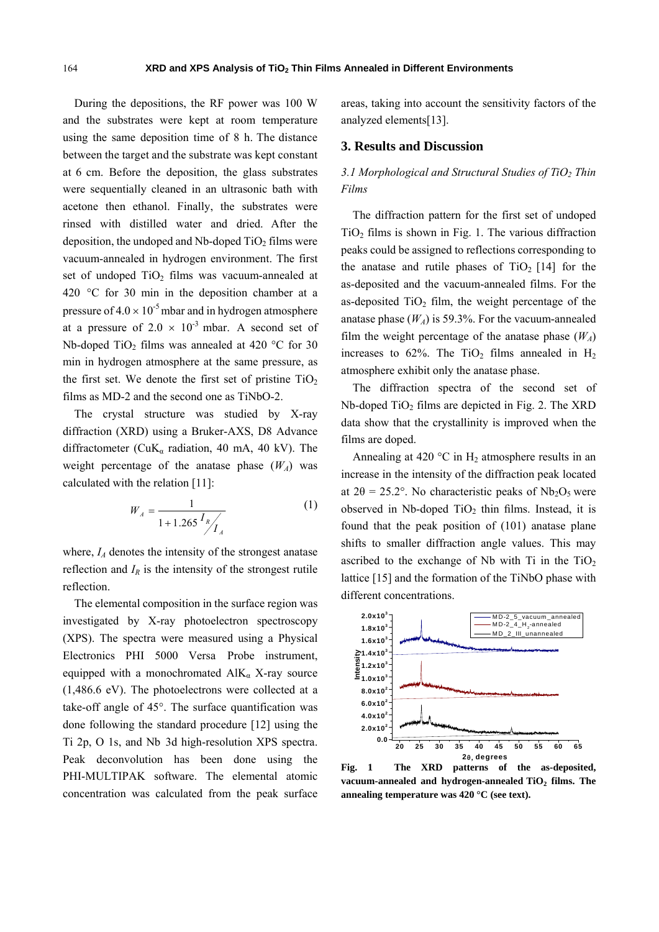During the depositions, the RF power was 100 W and the substrates were kept at room temperature using the same deposition time of 8 h. The distance between the target and the substrate was kept constant at 6 cm. Before the deposition, the glass substrates were sequentially cleaned in an ultrasonic bath with acetone then ethanol. Finally, the substrates were rinsed with distilled water and dried. After the deposition, the undoped and Nb-doped  $TiO<sub>2</sub>$  films were vacuum-annealed in hydrogen environment. The first set of undoped  $TiO<sub>2</sub>$  films was vacuum-annealed at 420 °C for 30 min in the deposition chamber at a pressure of  $4.0 \times 10^{-5}$  mbar and in hydrogen atmosphere at a pressure of  $2.0 \times 10^{-3}$  mbar. A second set of Nb-doped TiO<sub>2</sub> films was annealed at 420 °C for 30 min in hydrogen atmosphere at the same pressure, as the first set. We denote the first set of pristine  $TiO<sub>2</sub>$ films as MD-2 and the second one as TiNbO-2.

The crystal structure was studied by X-ray diffraction (XRD) using a Bruker-AXS, D8 Advance diffractometer (CuK<sub>a</sub> radiation, 40 mA, 40 kV). The weight percentage of the anatase phase  $(W_A)$  was calculated with the relation [11]:

$$
W_A = \frac{1}{1 + 1.265 \frac{I_R}{I_A}}
$$
 (1)

where,  $I_A$  denotes the intensity of the strongest anatase reflection and  $I_R$  is the intensity of the strongest rutile reflection.

The elemental composition in the surface region was investigated by X-ray photoelectron spectroscopy (XPS). The spectra were measured using a Physical Electronics PHI 5000 Versa Probe instrument, equipped with a monochromated  $AIK_\alpha$  X-ray source (1,486.6 eV). The photoelectrons were collected at a take-off angle of 45°. The surface quantification was done following the standard procedure [12] using the Ti 2p, O 1s, and Nb 3d high-resolution XPS spectra. Peak deconvolution has been done using the PHI-MULTIPAK software. The elemental atomic concentration was calculated from the peak surface areas, taking into account the sensitivity factors of the analyzed elements[13].

#### **3. Results and Discussion**

# *3.1 Morphological and Structural Studies of TiO2 Thin Films*

The diffraction pattern for the first set of undoped  $TiO<sub>2</sub>$  films is shown in Fig. 1. The various diffraction peaks could be assigned to reflections corresponding to the anatase and rutile phases of  $TiO<sub>2</sub>$  [14] for the as-deposited and the vacuum-annealed films. For the as-deposited  $TiO<sub>2</sub>$  film, the weight percentage of the anatase phase  $(W_A)$  is 59.3%. For the vacuum-annealed film the weight percentage of the anatase phase  $(W_A)$ increases to 62%. The TiO<sub>2</sub> films annealed in  $H_2$ atmosphere exhibit only the anatase phase.

The diffraction spectra of the second set of Nb-doped  $TiO<sub>2</sub>$  films are depicted in Fig. 2. The XRD data show that the crystallinity is improved when the films are doped.

Annealing at 420  $^{\circ}$ C in H<sub>2</sub> atmosphere results in an increase in the intensity of the diffraction peak located at  $2\theta = 25.2^{\circ}$ . No characteristic peaks of Nb<sub>2</sub>O<sub>5</sub> were observed in Nb-doped  $TiO<sub>2</sub>$  thin films. Instead, it is found that the peak position of (101) anatase plane shifts to smaller diffraction angle values. This may ascribed to the exchange of Nb with Ti in the  $TiO<sub>2</sub>$ lattice [15] and the formation of the TiNbO phase with different concentrations.



**Fig. 1 The XRD patterns of the as-deposited,**  vacuum-annealed and hydrogen-annealed TiO<sub>2</sub> films. The **annealing temperature was 420 °C (see text).**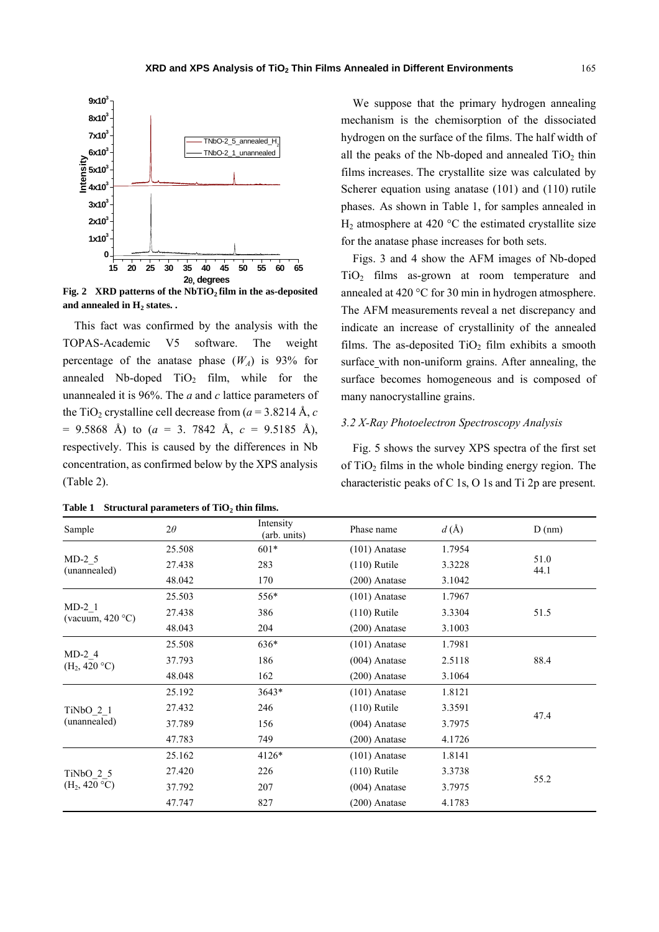

Fig. 2 XRD patterns of the NbTiO<sub>2</sub> film in the as-deposited and annealed in H<sub>2</sub> states. .

This fact was confirmed by the analysis with the TOPAS-Academic V5 software. The weight percentage of the anatase phase  $(W_A)$  is 93% for annealed Nb-doped  $TiO<sub>2</sub>$  film, while for the unannealed it is 96%. The *a* and *c* lattice parameters of the TiO<sub>2</sub> crystalline cell decrease from  $(a = 3.8214 \text{ Å}, c)$  $= 9.5868$  Å) to (*a* = 3. 7842 Å, *c* = 9.5185 Å), respectively. This is caused by the differences in Nb concentration, as confirmed below by the XPS analysis (Table 2).

Table 1 Structural parameters of TiO<sub>2</sub> thin films.

We suppose that the primary hydrogen annealing mechanism is the chemisorption of the dissociated hydrogen on the surface of the films. The half width of all the peaks of the Nb-doped and annealed  $TiO<sub>2</sub>$  thin films increases. The crystallite size was calculated by Scherer equation using anatase (101) and (110) rutile phases. As shown in Table 1, for samples annealed in  $H_2$  atmosphere at 420 °C the estimated crystallite size for the anatase phase increases for both sets.

Figs. 3 and 4 show the AFM images of Nb-doped TiO<sub>2</sub> films as-grown at room temperature and annealed at 420 °C for 30 min in hydrogen atmosphere. The AFM measurements reveal a net discrepancy and indicate an increase of crystallinity of the annealed films. The as-deposited  $TiO<sub>2</sub>$  film exhibits a smooth surface with non-uniform grains. After annealing, the surface becomes homogeneous and is composed of many nanocrystalline grains.

#### *3.2 X-Ray Photoelectron Spectroscopy Analysis*

Fig. 5 shows the survey XPS spectra of the first set of  $TiO<sub>2</sub>$  films in the whole binding energy region. The characteristic peaks of C 1s, O 1s and Ti 2p are present.

| Sample                                | $2\theta$ | Intensity<br>(arb. units) | Phase name      | d(A)   | D(nm)        |  |
|---------------------------------------|-----------|---------------------------|-----------------|--------|--------------|--|
| $MD-2$ 5<br>(unannealed)              | 25.508    | $601*$                    | $(101)$ Anatase | 1.7954 |              |  |
|                                       | 27.438    | 283                       | $(110)$ Rutile  | 3.3228 | 51.0<br>44.1 |  |
|                                       | 48.042    | 170                       | $(200)$ Anatase | 3.1042 |              |  |
| $MD-2$ 1<br>(vacuum, $420^{\circ}$ C) | 25.503    | $556*$                    | $(101)$ Anatase | 1.7967 |              |  |
|                                       | 27.438    | 386                       | $(110)$ Rutile  | 3.3304 | 51.5         |  |
|                                       | 48.043    | 204                       | $(200)$ Anatase | 3.1003 |              |  |
| $MD-2$ 4<br>$(H_2, 420 °C)$           | 25.508    | 636*                      | $(101)$ Anatase | 1.7981 | 88.4         |  |
|                                       | 37.793    | 186                       | $(004)$ Anatase | 2.5118 |              |  |
|                                       | 48.048    | 162                       | $(200)$ Anatase | 3.1064 |              |  |
| TiNbO 2 1<br>(unannealed)             | 25.192    | $3643*$                   | $(101)$ Anatase | 1.8121 |              |  |
|                                       | 27.432    | 246                       | $(110)$ Rutile  | 3.3591 |              |  |
|                                       | 37.789    | 156                       | $(004)$ Anatase | 3.7975 | 47.4         |  |
|                                       | 47.783    | 749                       | $(200)$ Anatase | 4.1726 |              |  |
| TiNbO 2 5<br>$(H_2, 420 °C)$          | 25.162    | $4126*$                   | $(101)$ Anatase | 1.8141 |              |  |
|                                       | 27.420    | 226                       | $(110)$ Rutile  | 3.3738 |              |  |
|                                       | 37.792    | 207                       | $(004)$ Anatase | 3.7975 | 55.2         |  |
|                                       | 47.747    | 827                       | $(200)$ Anatase | 4.1783 |              |  |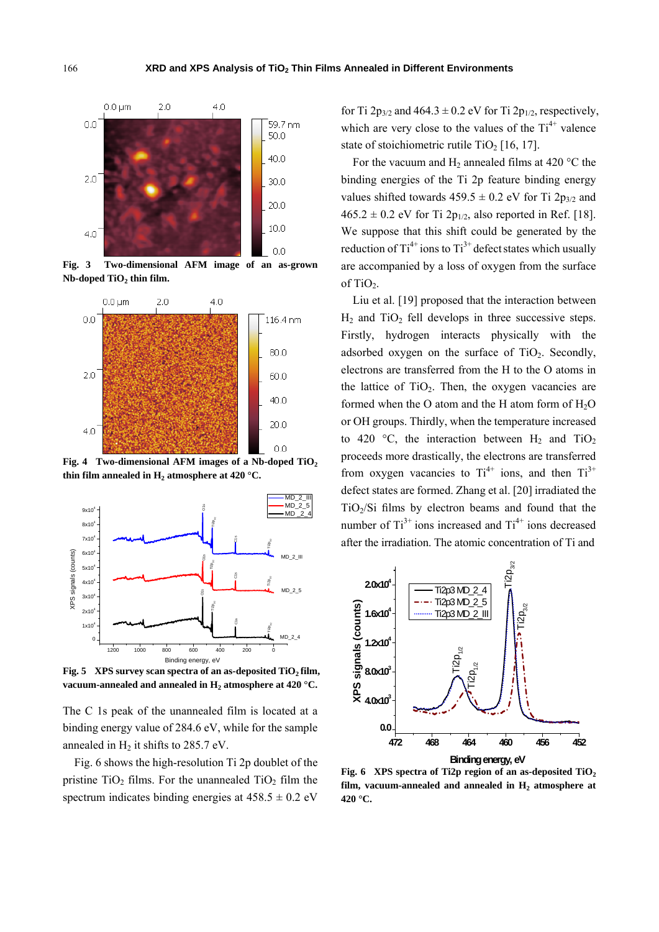

**Fig. 3 Two-dimensional AFM image of an as-grown**  Nb-doped TiO<sub>2</sub> thin film.



Fig. 4 Two-dimensional AFM images of a Nb-doped TiO<sub>2</sub> thin film annealed in  $H_2$  atmosphere at 420  $^{\circ}$ C.



Fig. 5 XPS survey scan spectra of an as-deposited TiO<sub>2</sub> film, vacuum-annealed and annealed in H<sub>2</sub> atmosphere at 420 °C.

The C 1s peak of the unannealed film is located at a binding energy value of 284.6 eV, while for the sample annealed in  $H_2$  it shifts to 285.7 eV.

Fig. 6 shows the high-resolution Ti 2p doublet of the pristine  $TiO<sub>2</sub>$  films. For the unannealed  $TiO<sub>2</sub>$  film the spectrum indicates binding energies at  $458.5 \pm 0.2$  eV

for Ti  $2p_{3/2}$  and  $464.3 \pm 0.2$  eV for Ti  $2p_{1/2}$ , respectively, which are very close to the values of the  $Ti^{4+}$  valence state of stoichiometric rutile  $TiO<sub>2</sub> [16, 17]$ .

For the vacuum and  $H_2$  annealed films at 420 °C the binding energies of the Ti 2p feature binding energy values shifted towards  $459.5 \pm 0.2$  eV for Ti  $2p_{3/2}$  and  $465.2 \pm 0.2$  eV for Ti  $2p_{1/2}$ , also reported in Ref. [18]. We suppose that this shift could be generated by the reduction of  $Ti^{4+}$  ions to  $Ti^{3+}$  defect states which usually are accompanied by a loss of oxygen from the surface of TiO<sub>2</sub>.

Liu et al. [19] proposed that the interaction between  $H_2$  and TiO<sub>2</sub> fell develops in three successive steps. Firstly, hydrogen interacts physically with the adsorbed oxygen on the surface of  $TiO<sub>2</sub>$ . Secondly, electrons are transferred from the H to the O atoms in the lattice of  $TiO<sub>2</sub>$ . Then, the oxygen vacancies are formed when the O atom and the H atom form of  $H_2O$ or OH groups. Thirdly, when the temperature increased to 420 °C, the interaction between  $H_2$  and TiO<sub>2</sub> proceeds more drastically, the electrons are transferred from oxygen vacancies to  $Ti^{4+}$  ions, and then  $Ti^{3+}$ defect states are formed. Zhang et al. [20] irradiated the  $TiO<sub>2</sub>/Si$  films by electron beams and found that the number of  $Ti^{3+}$  ions increased and  $Ti^{4+}$  ions decreased after the irradiation. The atomic concentration of Ti and



**Fig. 6 XPS spectra of Ti2p region of an as-deposited TiO2**  film, vacuum-annealed and annealed in  $H<sub>2</sub>$  atmosphere at **420 °C.**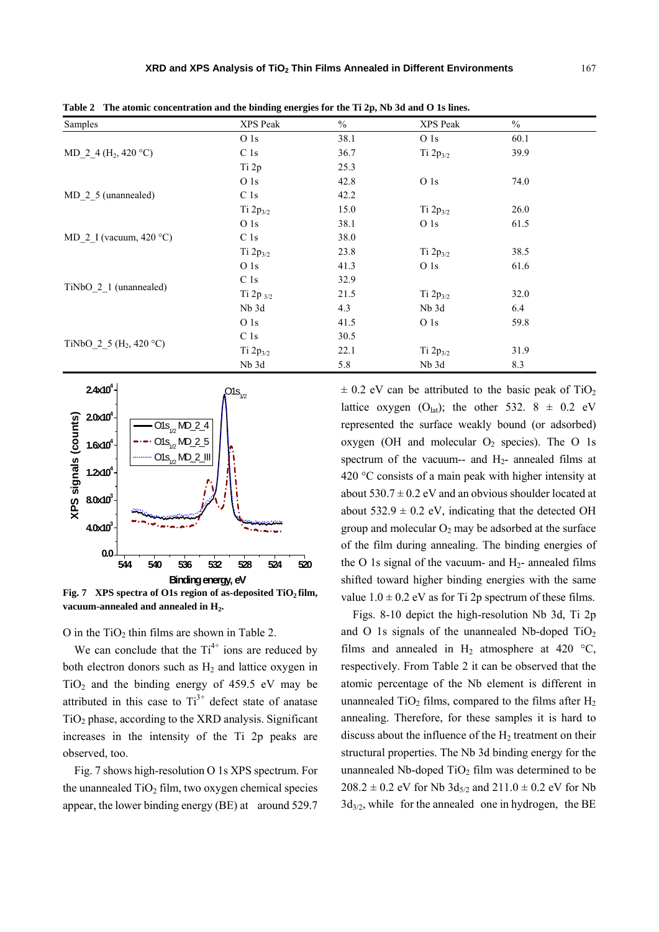| Samples                             | XPS Peak        | $\%$ | XPS Peak        | $\frac{0}{0}$ |  |
|-------------------------------------|-----------------|------|-----------------|---------------|--|
|                                     | O <sub>1s</sub> | 38.1 | O <sub>1s</sub> | 60.1          |  |
| MD 2 4 (H <sub>2</sub> , 420 °C)    | C <sub>1s</sub> | 36.7 | Ti $2p_{3/2}$   | 39.9          |  |
|                                     | Ti 2p           | 25.3 |                 |               |  |
|                                     | O 1s            | 42.8 | O 1s            | 74.0          |  |
| MD 2 5 (unannealed)                 | C <sub>1s</sub> | 42.2 |                 |               |  |
|                                     | Ti $2p_{3/2}$   | 15.0 | Ti $2p_{3/2}$   | 26.0          |  |
| MD 2 I (vacuum, $420^{\circ}$ C)    | O <sub>1s</sub> | 38.1 | O <sub>1s</sub> | 61.5          |  |
|                                     | C <sub>1s</sub> | 38.0 |                 |               |  |
|                                     | Ti $2p_{3/2}$   | 23.8 | Ti $2p_{3/2}$   | 38.5          |  |
|                                     | O <sub>1s</sub> | 41.3 | O <sub>1s</sub> | 61.6          |  |
| TiNbO 2 1 (unannealed)              | C <sub>1s</sub> | 32.9 |                 |               |  |
|                                     | Ti 2p $_{3/2}$  | 21.5 | Ti $2p_{3/2}$   | 32.0          |  |
|                                     | Nb 3d           | 4.3  | Nb 3d           | 6.4           |  |
|                                     | O <sub>1s</sub> | 41.5 | O <sub>1s</sub> | 59.8          |  |
| TiNbO 2 5 (H <sub>2</sub> , 420 °C) | C <sub>1s</sub> | 30.5 |                 |               |  |
|                                     | Ti $2p_{3/2}$   | 22.1 | Ti $2p_{3/2}$   | 31.9          |  |
|                                     | Nb 3d           | 5.8  | Nb 3d           | 8.3           |  |

**Table 2 The atomic concentration and the binding energies for the Ti 2p, Nb 3d and O 1s lines.** 



Fig. 7 XPS spectra of O1s region of as-deposited TiO<sub>2</sub> film, vacuum-annealed and annealed in H<sub>2</sub>.

O in the  $TiO<sub>2</sub>$  thin films are shown in Table 2.

We can conclude that the  $Ti^{4+}$  ions are reduced by both electron donors such as  $H<sub>2</sub>$  and lattice oxygen in  $TiO<sub>2</sub>$  and the binding energy of 459.5 eV may be attributed in this case to  $Ti^{3+}$  defect state of anatase  $TiO<sub>2</sub>$  phase, according to the XRD analysis. Significant increases in the intensity of the Ti 2p peaks are observed, too.

Fig. 7 shows high-resolution O 1s XPS spectrum. For the unannealed  $TiO<sub>2</sub>$  film, two oxygen chemical species appear, the lower binding energy (BE) at around 529.7  $\pm$  0.2 eV can be attributed to the basic peak of TiO<sub>2</sub> lattice oxygen  $(O<sub>lat</sub>)$ ; the other 532. 8  $\pm$  0.2 eV represented the surface weakly bound (or adsorbed) oxygen (OH and molecular  $O_2$  species). The O 1s spectrum of the vacuum-- and  $H_2$ - annealed films at 420 °C consists of a main peak with higher intensity at about  $530.7 \pm 0.2$  eV and an obvious shoulder located at about  $532.9 \pm 0.2$  eV, indicating that the detected OH group and molecular  $O_2$  may be adsorbed at the surface of the film during annealing. The binding energies of the O 1s signal of the vacuum- and  $H_2$ - annealed films shifted toward higher binding energies with the same value  $1.0 \pm 0.2$  eV as for Ti 2p spectrum of these films.

Figs. 8-10 depict the high-resolution Nb 3d, Ti 2p and O 1s signals of the unannealed Nb-doped  $TiO<sub>2</sub>$ films and annealed in  $H_2$  atmosphere at 420 °C, respectively. From Table 2 it can be observed that the atomic percentage of the Nb element is different in unannealed  $TiO<sub>2</sub>$  films, compared to the films after  $H<sub>2</sub>$ annealing. Therefore, for these samples it is hard to discuss about the influence of the  $H_2$  treatment on their structural properties. The Nb 3d binding energy for the unannealed Nb-doped  $TiO<sub>2</sub>$  film was determined to be  $208.2 \pm 0.2$  eV for Nb  $3d_{5/2}$  and  $211.0 \pm 0.2$  eV for Nb  $3d_{3/2}$ , while for the annealed one in hydrogen, the BE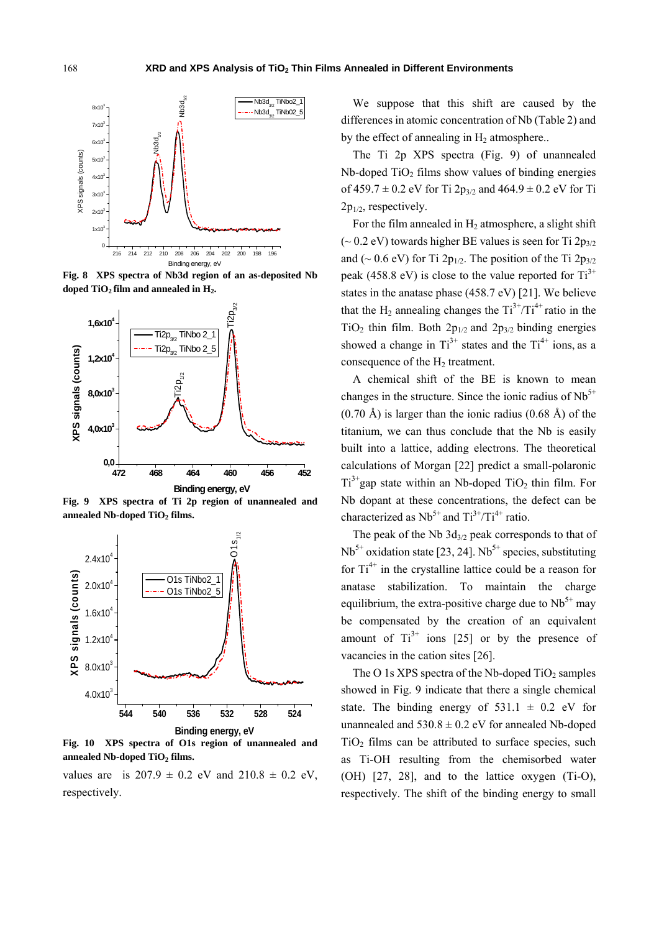

**Fig. 8 XPS spectra of Nb3d region of an as-deposited Nb**  doped TiO<sub>2</sub> film and annealed in H<sub>2</sub>.



**Fig. 9 XPS spectra of Ti 2p region of unannealed and**  annealed Nb-doped TiO<sub>2</sub> films.



**Fig. 10 XPS spectra of O1s region of unannealed and**  annealed Nb-doped TiO<sub>2</sub> films.

values are is  $207.9 \pm 0.2$  eV and  $210.8 \pm 0.2$  eV, respectively.

We suppose that this shift are caused by the differences in atomic concentration of Nb (Table 2) and by the effect of annealing in  $H_2$  atmosphere..

The Ti 2p XPS spectra (Fig. 9) of unannealed  $Nb$ -doped  $TiO<sub>2</sub>$  films show values of binding energies of  $459.7 \pm 0.2$  eV for Ti  $2p_{3/2}$  and  $464.9 \pm 0.2$  eV for Ti  $2p_{1/2}$ , respectively.

For the film annealed in  $H_2$  atmosphere, a slight shift ( $\sim$  0.2 eV) towards higher BE values is seen for Ti 2p<sub>3/2</sub> and (~ 0.6 eV) for Ti 2p<sub>1/2</sub>. The position of the Ti 2p<sub>3/2</sub> peak (458.8 eV) is close to the value reported for  $Ti<sup>3+</sup>$ states in the anatase phase (458.7 eV) [21]. We believe that the H<sub>2</sub> annealing changes the  $Ti^{3+}/Ti^{4+}$  ratio in the TiO<sub>2</sub> thin film. Both  $2p_{1/2}$  and  $2p_{3/2}$  binding energies showed a change in  $Ti^{3+}$  states and the  $Ti^{4+}$  ions, as a consequence of the  $H_2$  treatment.

A chemical shift of the BE is known to mean changes in the structure. Since the ionic radius of  $Nb<sup>5+</sup>$  $(0.70 \text{ Å})$  is larger than the ionic radius  $(0.68 \text{ Å})$  of the titanium, we can thus conclude that the Nb is easily built into a lattice, adding electrons. The theoretical calculations of Morgan [22] predict a small-polaronic  $Ti^{3+}$ gap state within an Nb-doped TiO<sub>2</sub> thin film. For Nb dopant at these concentrations, the defect can be characterized as  $Nb<sup>5+</sup>$  and  $Ti<sup>3+</sup>/Ti<sup>4+</sup>$  ratio.

The peak of the Nb  $3d_{3/2}$  peak corresponds to that of  $Nb<sup>5+</sup>$  oxidation state [23, 24]. Nb<sup>5+</sup> species, substituting for  $Ti^{4+}$  in the crystalline lattice could be a reason for anatase stabilization. To maintain the charge equilibrium, the extra-positive charge due to  $Nb<sup>5+</sup>$  may be compensated by the creation of an equivalent amount of  $Ti^{3+}$  ions [25] or by the presence of vacancies in the cation sites [26].

The O 1s XPS spectra of the Nb-doped  $TiO<sub>2</sub>$  samples showed in Fig. 9 indicate that there a single chemical state. The binding energy of  $531.1 \pm 0.2$  eV for unannealed and  $530.8 \pm 0.2$  eV for annealed Nb-doped  $TiO<sub>2</sub>$  films can be attributed to surface species, such as Ti-OH resulting from the chemisorbed water (OH) [27, 28], and to the lattice oxygen (Ti-O), respectively. The shift of the binding energy to small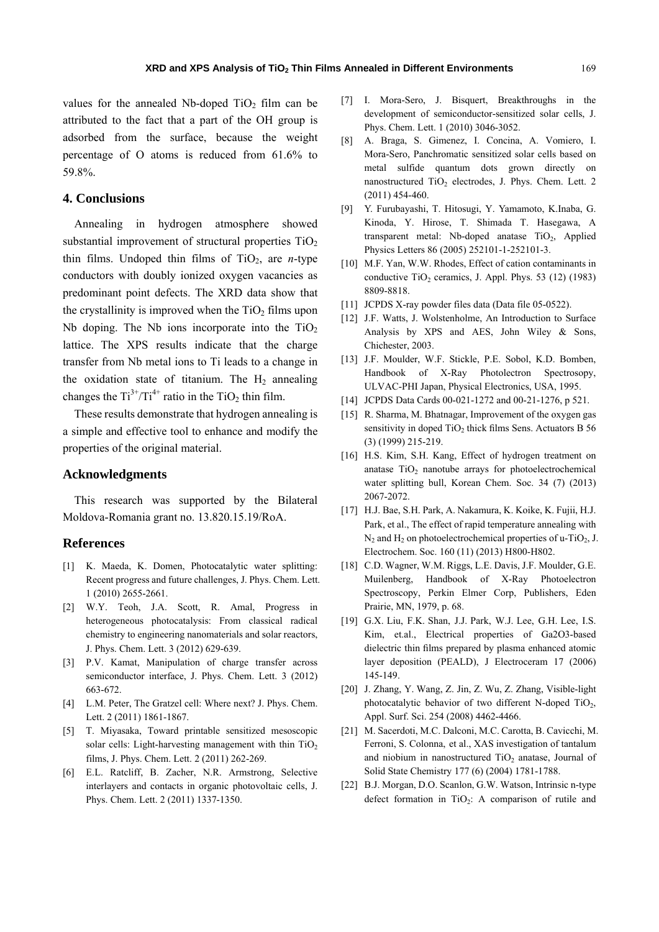values for the annealed Nb-doped  $TiO<sub>2</sub>$  film can be attributed to the fact that a part of the OH group is adsorbed from the surface, because the weight percentage of O atoms is reduced from 61.6% to 59.8%.

## **4. Conclusions**

Annealing in hydrogen atmosphere showed substantial improvement of structural properties  $TiO<sub>2</sub>$ thin films. Undoped thin films of  $TiO<sub>2</sub>$ , are *n*-type conductors with doubly ionized oxygen vacancies as predominant point defects. The XRD data show that the crystallinity is improved when the  $TiO<sub>2</sub>$  films upon Nb doping. The Nb ions incorporate into the  $TiO<sub>2</sub>$ lattice. The XPS results indicate that the charge transfer from Nb metal ions to Ti leads to a change in the oxidation state of titanium. The  $H_2$  annealing changes the  $Ti^{3+}/Ti^{4+}$  ratio in the TiO<sub>2</sub> thin film.

These results demonstrate that hydrogen annealing is a simple and effective tool to enhance and modify the properties of the original material.

# **Acknowledgments**

This research was supported by the Bilateral Moldova-Romania grant no. 13.820.15.19/RoA.

#### **References**

- [1] K. Maeda, K. Domen, Photocatalytic water splitting: Recent progress and future challenges, J. Phys. Chem. Lett. 1 (2010) 2655-2661.
- [2] W.Y. Teoh, J.A. Scott, R. Amal, Progress in heterogeneous photocatalysis: From classical radical chemistry to engineering nanomaterials and solar reactors, J. Phys. Chem. Lett. 3 (2012) 629-639.
- [3] P.V. Kamat, Manipulation of charge transfer across semiconductor interface, J. Phys. Chem. Lett. 3 (2012) 663-672.
- [4] L.M. Peter, The Gratzel cell: Where next? J. Phys. Chem. Lett. 2 (2011) 1861-1867.
- [5] T. Miyasaka, Toward printable sensitized mesoscopic solar cells: Light-harvesting management with thin  $TiO<sub>2</sub>$ films, J. Phys. Chem. Lett. 2 (2011) 262-269.
- [6] E.L. Ratcliff, B. Zacher, N.R. Armstrong, Selective interlayers and contacts in organic photovoltaic cells, J. Phys. Chem. Lett. 2 (2011) 1337-1350.
- [7] I. Mora-Sero, J. Bisquert, Breakthroughs in the development of semiconductor-sensitized solar cells, J. Phys. Chem. Lett. 1 (2010) 3046-3052.
- [8] A. Braga, S. Gimenez, I. Concina, A. Vomiero, I. Mora-Sero, Panchromatic sensitized solar cells based on metal sulfide quantum dots grown directly on nanostructured  $TiO<sub>2</sub>$  electrodes, J. Phys. Chem. Lett. 2 (2011) 454-460.
- [9] Y. Furubayashi, T. Hitosugi, Y. Yamamoto, K.Inaba, G. Kinoda, Y. Hirose, T. Shimada T. Hasegawa, A transparent metal: Nb-doped anatase  $TiO<sub>2</sub>$ , Applied Physics Letters 86 (2005) 252101-1-252101-3.
- [10] M.F. Yan, W.W. Rhodes, Effect of cation contaminants in conductive TiO<sub>2</sub> ceramics, J. Appl. Phys. 53 (12) (1983) 8809-8818.
- [11] JCPDS X-ray powder files data (Data file 05-0522).
- [12] J.F. Watts, J. Wolstenholme, An Introduction to Surface Analysis by XPS and AES, John Wiley & Sons, Chichester, 2003.
- [13] J.F. Moulder, W.F. Stickle, P.E. Sobol, K.D. Bomben, Handbook of X-Ray Photolectron Spectrosopy, ULVAC-PHI Japan, Physical Electronics, USA, 1995.
- [14] JCPDS Data Cards 00-021-1272 and 00-21-1276, p 521.
- [15] R. Sharma, M. Bhatnagar, Improvement of the oxygen gas sensitivity in doped  $TiO<sub>2</sub>$  thick films Sens. Actuators B 56 (3) (1999) 215-219.
- [16] H.S. Kim, S.H. Kang, Effect of hydrogen treatment on anatase  $TiO<sub>2</sub>$  nanotube arrays for photoelectrochemical water splitting bull, Korean Chem. Soc. 34 (7) (2013) 2067-2072.
- [17] H.J. Bae, S.H. Park, A. Nakamura, K. Koike, K. Fujii, H.J. Park, et al., The effect of rapid temperature annealing with  $N_2$  and  $H_2$  on photoelectrochemical properties of u-TiO<sub>2</sub>, J. Electrochem. Soc. 160 (11) (2013) H800-H802.
- [18] C.D. Wagner, W.M. Riggs, L.E. Davis, J.F. Moulder, G.E. Muilenberg, Handbook of X-Ray Photoelectron Spectroscopy, Perkin Elmer Corp, Publishers, Eden Prairie, MN, 1979, p. 68.
- [19] G.X. Liu, F.K. Shan, J.J. Park, W.J. Lee, G.H. Lee, I.S. Kim, et.al., Electrical properties of Ga2O3-based dielectric thin films prepared by plasma enhanced atomic layer deposition (PEALD), J Electroceram 17 (2006) 145-149.
- [20] J. Zhang, Y. Wang, Z. Jin, Z. Wu, Z. Zhang, Visible-light photocatalytic behavior of two different N-doped  $TiO<sub>2</sub>$ , Appl. Surf. Sci. 254 (2008) 4462-4466.
- [21] M. Sacerdoti, M.C. Dalconi, M.C. Carotta, B. Cavicchi, M. Ferroni, S. Colonna, et al., XAS investigation of tantalum and niobium in nanostructured  $TiO<sub>2</sub>$  anatase, Journal of Solid State Chemistry 177 (6) (2004) 1781-1788.
- [22] B.J. Morgan, D.O. Scanlon, G.W. Watson, Intrinsic n-type defect formation in  $TiO<sub>2</sub>$ : A comparison of rutile and